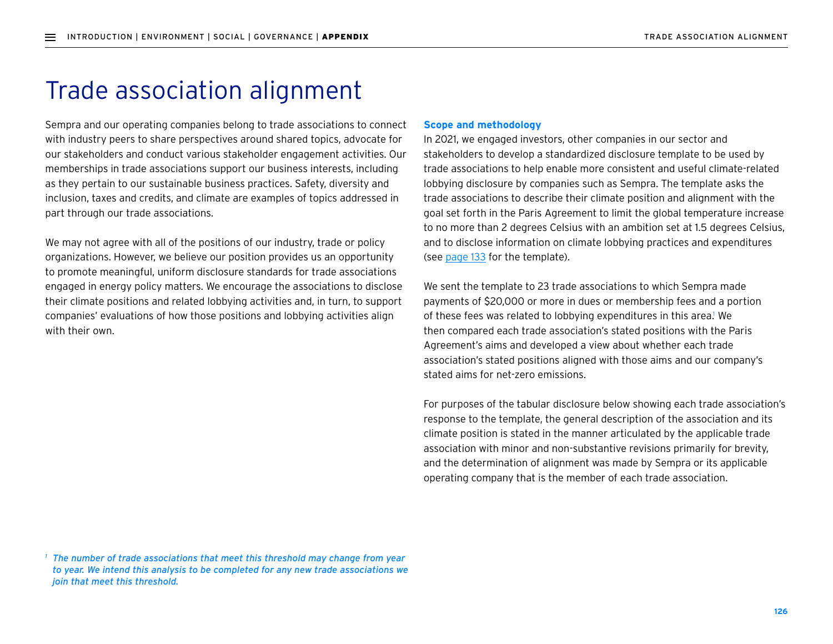## Trade association alignment

Sempra and our operating companies belong to trade associations to connect with industry peers to share perspectives around shared topics, advocate for our stakeholders and conduct various stakeholder engagement activities. Our memberships in trade associations support our business interests, including as they pertain to our sustainable business practices. Safety, diversity and inclusion, taxes and credits, and climate are examples of topics addressed in part through our trade associations.

We may not agree with all of the positions of our industry, trade or policy organizations. However, we believe our position provides us an opportunity to promote meaningful, uniform disclosure standards for trade associations engaged in energy policy matters. We encourage the associations to disclose their climate positions and related lobbying activities and, in turn, to support companies' evaluations of how those positions and lobbying activities align with their own.

## **Scope and methodology**

In 2021, we engaged investors, other companies in our sector and stakeholders to develop a standardized disclosure template to be used by trade associations to help enable more consistent and useful climate-related lobbying disclosure by companies such as Sempra. The template asks the trade associations to describe their climate position and alignment with the goal set forth in the Paris Agreement to limit the global temperature increase to no more than 2 degrees Celsius with an ambition set at 1.5 degrees Celsius, and to disclose information on climate lobbying practices and expenditures (see page 133 for the template).

We sent the template to 23 trade associations to which Sempra made payments of \$20,000 or more in dues or membership fees and a portion of these fees was related to lobbying expenditures in this area.<sup>1</sup> We then compared each trade association's stated positions with the Paris Agreement's aims and developed a view about whether each trade association's stated positions aligned with those aims and our company's stated aims for net-zero emissions.

For purposes of the tabular disclosure below showing each trade association's response to the template, the general description of the association and its climate position is stated in the manner articulated by the applicable trade association with minor and non-substantive revisions primarily for brevity, and the determination of alignment was made by Sempra or its applicable operating company that is the member of each trade association.

*<sup>1</sup> The number of trade associations that meet this threshold may change from year to year. We intend this analysis to be completed for any new trade associations we join that meet this threshold.*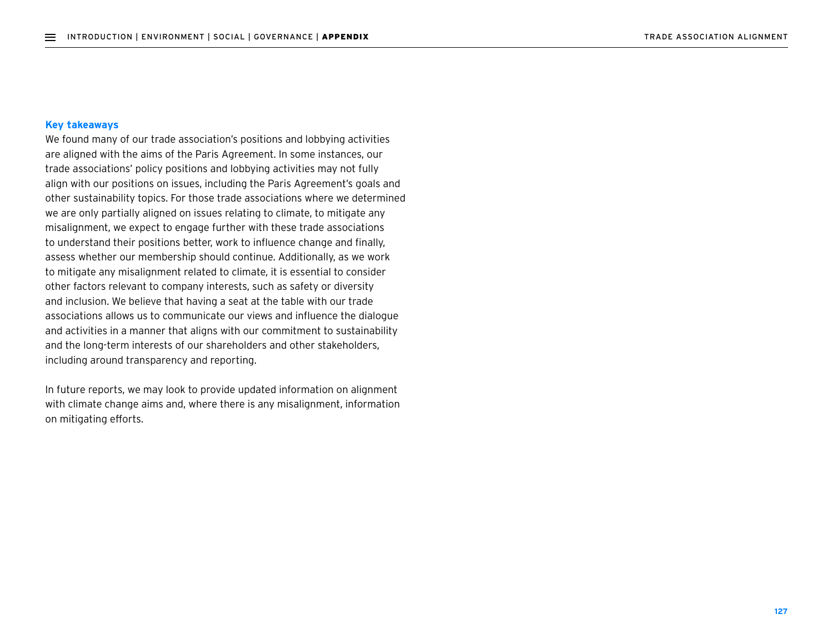## **Key takeaways**

We found many of our trade association's positions and lobbying activities are aligned with the aims of the Paris Agreement. In some instances, our trade associations' policy positions and lobbying activities may not fully align with our positions on issues, including the Paris Agreement's goals and other sustainability topics. For those trade associations where we determined we are only partially aligned on issues relating to climate, to mitigate any misalignment, we expect to engage further with these trade associations to understand their positions better, work to influence change and finally, assess whether our membership should continue. Additionally, as we work to mitigate any misalignment related to climate, it is essential to consider other factors relevant to company interests, such as safety or diversity and inclusion. We believe that having a seat at the table with our trade associations allows us to communicate our views and influence the dialogue and activities in a manner that aligns with our commitment to sustainability and the long-term interests of our shareholders and other stakeholders, including around transparency and reporting.

In future reports, we may look to provide updated information on alignment with climate change aims and, where there is any misalignment, information on mitigating efforts.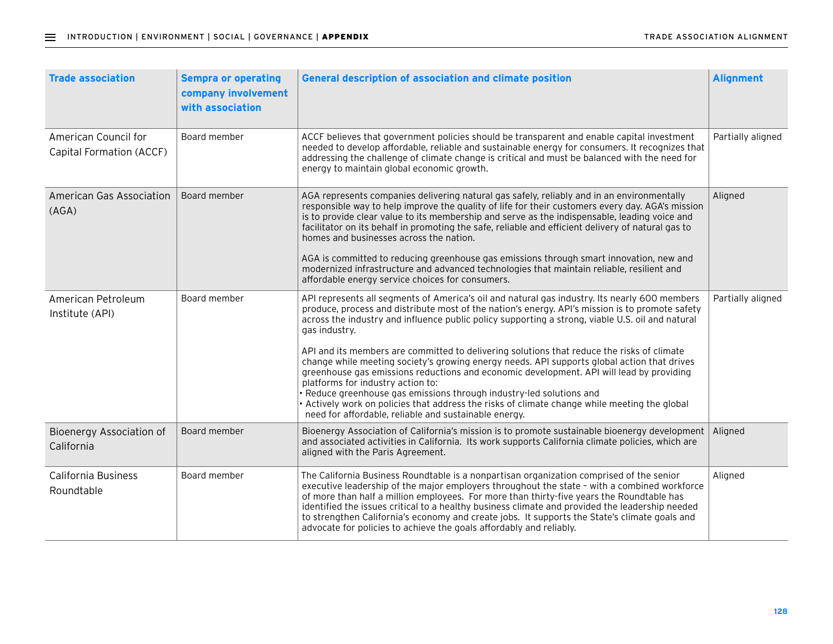| <b>Trade association</b>                         | <b>Sempra or operating</b><br>company involvement<br>with association | <b>General description of association and climate position</b>                                                                                                                                                                                                                                                                                                                                                                                                                                                                                                                                                                                                                                                                                                                                                                                                                      | <b>Alignment</b>  |
|--------------------------------------------------|-----------------------------------------------------------------------|-------------------------------------------------------------------------------------------------------------------------------------------------------------------------------------------------------------------------------------------------------------------------------------------------------------------------------------------------------------------------------------------------------------------------------------------------------------------------------------------------------------------------------------------------------------------------------------------------------------------------------------------------------------------------------------------------------------------------------------------------------------------------------------------------------------------------------------------------------------------------------------|-------------------|
| American Council for<br>Capital Formation (ACCF) | Board member                                                          | ACCF believes that government policies should be transparent and enable capital investment<br>needed to develop affordable, reliable and sustainable energy for consumers. It recognizes that<br>addressing the challenge of climate change is critical and must be balanced with the need for<br>energy to maintain global economic growth.                                                                                                                                                                                                                                                                                                                                                                                                                                                                                                                                        | Partially aligned |
| <b>American Gas Association</b><br>(AGA)         | Board member                                                          | AGA represents companies delivering natural gas safely, reliably and in an environmentally<br>responsible way to help improve the quality of life for their customers every day. AGA's mission<br>is to provide clear value to its membership and serve as the indispensable, leading voice and<br>facilitator on its behalf in promoting the safe, reliable and efficient delivery of natural gas to<br>homes and businesses across the nation.<br>AGA is committed to reducing greenhouse gas emissions through smart innovation, new and<br>modernized infrastructure and advanced technologies that maintain reliable, resilient and<br>affordable energy service choices for consumers.                                                                                                                                                                                        | Aligned           |
| American Petroleum<br>Institute (API)            | Board member                                                          | API represents all segments of America's oil and natural gas industry. Its nearly 600 members<br>produce, process and distribute most of the nation's energy. API's mission is to promote safety<br>across the industry and influence public policy supporting a strong, viable U.S. oil and natural<br>gas industry.<br>API and its members are committed to delivering solutions that reduce the risks of climate<br>change while meeting society's growing energy needs. API supports global action that drives<br>greenhouse gas emissions reductions and economic development. API will lead by providing<br>platforms for industry action to:<br>· Reduce greenhouse gas emissions through industry-led solutions and<br>Actively work on policies that address the risks of climate change while meeting the global<br>need for affordable, reliable and sustainable energy. | Partially aligned |
| Bioenergy Association of<br>California           | Board member                                                          | Bioenergy Association of California's mission is to promote sustainable bioenergy development<br>and associated activities in California. Its work supports California climate policies, which are<br>aligned with the Paris Agreement.                                                                                                                                                                                                                                                                                                                                                                                                                                                                                                                                                                                                                                             | Aligned           |
| California Business<br>Roundtable                | Board member                                                          | The California Business Roundtable is a nonpartisan organization comprised of the senior<br>executive leadership of the major employers throughout the state - with a combined workforce<br>of more than half a million employees. For more than thirty-five years the Roundtable has<br>identified the issues critical to a healthy business climate and provided the leadership needed<br>to strengthen California's economy and create jobs. It supports the State's climate goals and<br>advocate for policies to achieve the goals affordably and reliably.                                                                                                                                                                                                                                                                                                                    | Aligned           |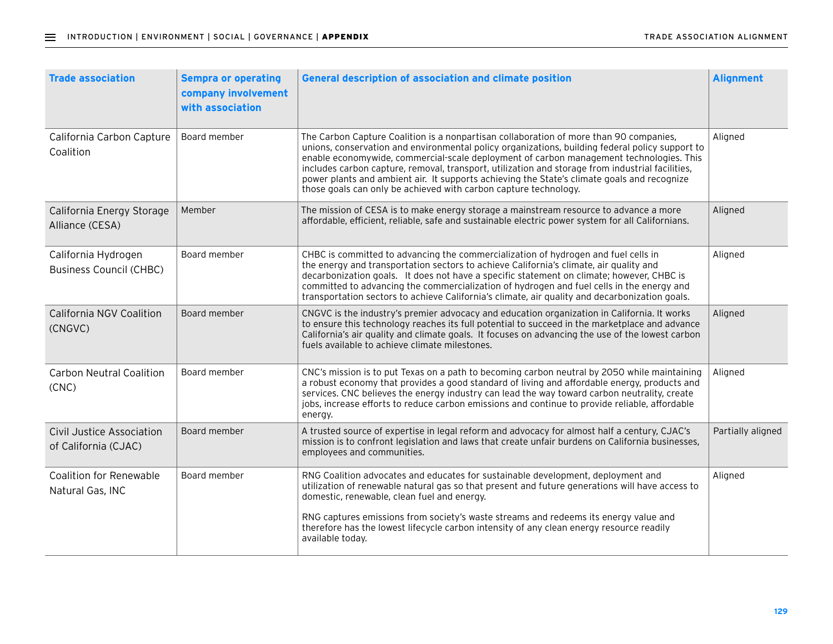| <b>Trade association</b>                              | <b>Sempra or operating</b><br>company involvement<br>with association | <b>General description of association and climate position</b>                                                                                                                                                                                                                                                                                                                                                                                                                                                                                              | <b>Alignment</b>  |
|-------------------------------------------------------|-----------------------------------------------------------------------|-------------------------------------------------------------------------------------------------------------------------------------------------------------------------------------------------------------------------------------------------------------------------------------------------------------------------------------------------------------------------------------------------------------------------------------------------------------------------------------------------------------------------------------------------------------|-------------------|
| California Carbon Capture<br>Coalition                | Board member                                                          | The Carbon Capture Coalition is a nonpartisan collaboration of more than 90 companies,<br>unions, conservation and environmental policy organizations, building federal policy support to<br>enable economywide, commercial-scale deployment of carbon management technologies. This<br>includes carbon capture, removal, transport, utilization and storage from industrial facilities,<br>power plants and ambient air. It supports achieving the State's climate goals and recognize<br>those goals can only be achieved with carbon capture technology. | Aligned           |
| California Energy Storage<br>Alliance (CESA)          | Member                                                                | The mission of CESA is to make energy storage a mainstream resource to advance a more<br>affordable, efficient, reliable, safe and sustainable electric power system for all Californians.                                                                                                                                                                                                                                                                                                                                                                  | Aligned           |
| California Hydrogen<br><b>Business Council (CHBC)</b> | Board member                                                          | CHBC is committed to advancing the commercialization of hydrogen and fuel cells in<br>the energy and transportation sectors to achieve California's climate, air quality and<br>decarbonization goals. It does not have a specific statement on climate; however, CHBC is<br>committed to advancing the commercialization of hydrogen and fuel cells in the energy and<br>transportation sectors to achieve California's climate, air quality and decarbonization goals.                                                                                    | Aligned           |
| <b>California NGV Coalition</b><br>(CNGVC)            | Board member                                                          | CNGVC is the industry's premier advocacy and education organization in California. It works<br>to ensure this technology reaches its full potential to succeed in the marketplace and advance<br>California's air quality and climate goals. It focuses on advancing the use of the lowest carbon<br>fuels available to achieve climate milestones.                                                                                                                                                                                                         | Aligned           |
| <b>Carbon Neutral Coalition</b><br>(CNC)              | Board member                                                          | CNC's mission is to put Texas on a path to becoming carbon neutral by 2050 while maintaining<br>a robust economy that provides a good standard of living and affordable energy, products and<br>services. CNC believes the energy industry can lead the way toward carbon neutrality, create<br>jobs, increase efforts to reduce carbon emissions and continue to provide reliable, affordable<br>energy.                                                                                                                                                   | Aligned           |
| Civil Justice Association<br>of California (CJAC)     | Board member                                                          | A trusted source of expertise in legal reform and advocacy for almost half a century, CJAC's<br>mission is to confront legislation and laws that create unfair burdens on California businesses,<br>employees and communities.                                                                                                                                                                                                                                                                                                                              | Partially aligned |
| <b>Coalition for Renewable</b><br>Natural Gas, INC    | Board member                                                          | RNG Coalition advocates and educates for sustainable development, deployment and<br>utilization of renewable natural gas so that present and future generations will have access to<br>domestic, renewable, clean fuel and energy.<br>RNG captures emissions from society's waste streams and redeems its energy value and<br>therefore has the lowest lifecycle carbon intensity of any clean energy resource readily<br>available today.                                                                                                                  | Aligned           |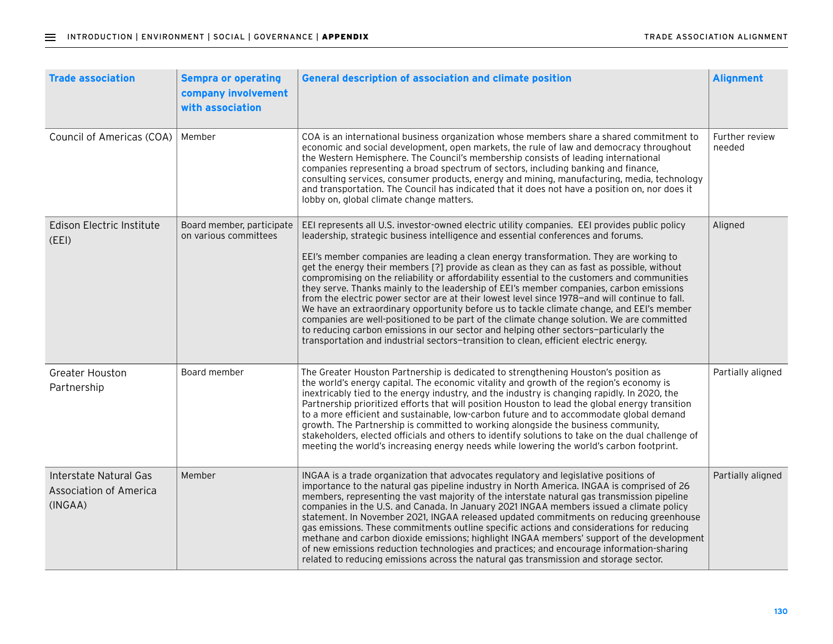| <b>Trade association</b>                                           | <b>Sempra or operating</b><br>company involvement<br>with association | <b>General description of association and climate position</b>                                                                                                                                                                                                                                                                                                                                                                                                                                                                                                                                                                                                                                                                                                                                                                                                                                                                                                                                                                                    | <b>Alignment</b>         |
|--------------------------------------------------------------------|-----------------------------------------------------------------------|---------------------------------------------------------------------------------------------------------------------------------------------------------------------------------------------------------------------------------------------------------------------------------------------------------------------------------------------------------------------------------------------------------------------------------------------------------------------------------------------------------------------------------------------------------------------------------------------------------------------------------------------------------------------------------------------------------------------------------------------------------------------------------------------------------------------------------------------------------------------------------------------------------------------------------------------------------------------------------------------------------------------------------------------------|--------------------------|
| Council of Americas (COA)                                          | Member                                                                | COA is an international business organization whose members share a shared commitment to<br>economic and social development, open markets, the rule of law and democracy throughout<br>the Western Hemisphere. The Council's membership consists of leading international<br>companies representing a broad spectrum of sectors, including banking and finance,<br>consulting services, consumer products, energy and mining, manufacturing, media, technology<br>and transportation. The Council has indicated that it does not have a position on, nor does it<br>lobby on, global climate change matters.                                                                                                                                                                                                                                                                                                                                                                                                                                      | Further review<br>needed |
| Edison Electric Institute<br>(EEI)                                 | Board member, participate<br>on various committees                    | EEI represents all U.S. investor-owned electric utility companies. EEI provides public policy<br>leadership, strategic business intelligence and essential conferences and forums.<br>EEI's member companies are leading a clean energy transformation. They are working to<br>get the energy their members [?] provide as clean as they can as fast as possible, without<br>compromising on the reliability or affordability essential to the customers and communities<br>they serve. Thanks mainly to the leadership of EEI's member companies, carbon emissions<br>from the electric power sector are at their lowest level since 1978-and will continue to fall.<br>We have an extraordinary opportunity before us to tackle climate change, and EEI's member<br>companies are well-positioned to be part of the climate change solution. We are committed<br>to reducing carbon emissions in our sector and helping other sectors-particularly the<br>transportation and industrial sectors-transition to clean, efficient electric energy. | Aligned                  |
| <b>Greater Houston</b><br>Partnership                              | Board member                                                          | The Greater Houston Partnership is dedicated to strengthening Houston's position as<br>the world's energy capital. The economic vitality and growth of the region's economy is<br>inextricably tied to the energy industry, and the industry is changing rapidly. In 2020, the<br>Partnership prioritized efforts that will position Houston to lead the global energy transition<br>to a more efficient and sustainable, low-carbon future and to accommodate global demand<br>growth. The Partnership is committed to working alongside the business community,<br>stakeholders, elected officials and others to identify solutions to take on the dual challenge of<br>meeting the world's increasing energy needs while lowering the world's carbon footprint.                                                                                                                                                                                                                                                                                | Partially aligned        |
| Interstate Natural Gas<br><b>Association of America</b><br>(INGAA) | Member                                                                | INGAA is a trade organization that advocates regulatory and legislative positions of<br>importance to the natural gas pipeline industry in North America. INGAA is comprised of 26<br>members, representing the vast majority of the interstate natural gas transmission pipeline<br>companies in the U.S. and Canada. In January 2021 INGAA members issued a climate policy<br>statement. In November 2021, INGAA released updated commitments on reducing greenhouse<br>gas emissions. These commitments outline specific actions and considerations for reducing<br>methane and carbon dioxide emissions; highlight INGAA members' support of the development<br>of new emissions reduction technologies and practices; and encourage information-sharing<br>related to reducing emissions across the natural gas transmission and storage sector.                                                                                                                                                                                             | Partially aligned        |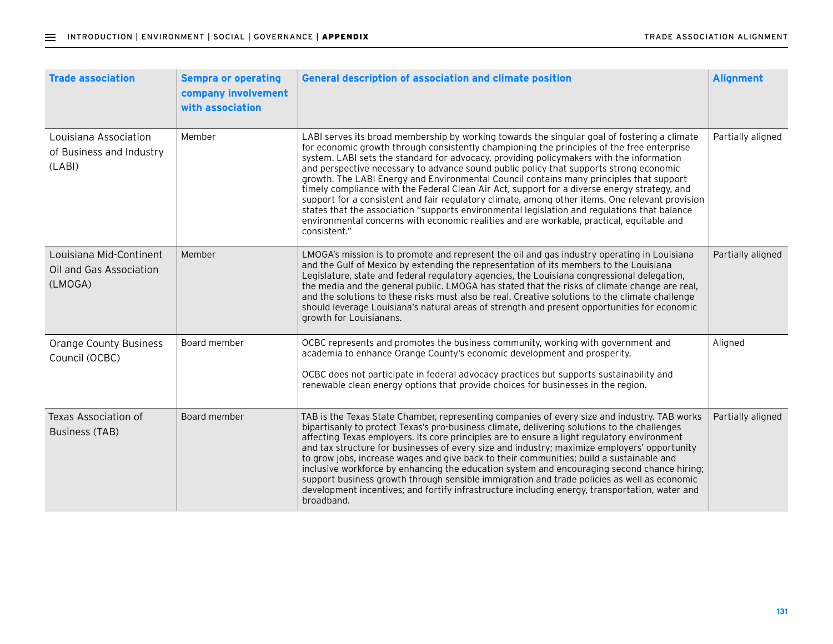| <b>Trade association</b>                                      | <b>Sempra or operating</b><br>company involvement<br>with association | <b>General description of association and climate position</b>                                                                                                                                                                                                                                                                                                                                                                                                                                                                                                                                                                                                                                                                                                                                                                                                                              | <b>Alignment</b>  |
|---------------------------------------------------------------|-----------------------------------------------------------------------|---------------------------------------------------------------------------------------------------------------------------------------------------------------------------------------------------------------------------------------------------------------------------------------------------------------------------------------------------------------------------------------------------------------------------------------------------------------------------------------------------------------------------------------------------------------------------------------------------------------------------------------------------------------------------------------------------------------------------------------------------------------------------------------------------------------------------------------------------------------------------------------------|-------------------|
| Louisiana Association<br>of Business and Industry<br>(LABI)   | Member                                                                | LABI serves its broad membership by working towards the singular goal of fostering a climate<br>for economic growth through consistently championing the principles of the free enterprise<br>system. LABI sets the standard for advocacy, providing policymakers with the information<br>and perspective necessary to advance sound public policy that supports strong economic<br>growth. The LABI Energy and Environmental Council contains many principles that support<br>timely compliance with the Federal Clean Air Act, support for a diverse energy strategy, and<br>support for a consistent and fair regulatory climate, among other items. One relevant provision<br>states that the association "supports environmental legislation and regulations that balance<br>environmental concerns with economic realities and are workable, practical, equitable and<br>consistent." | Partially aligned |
| Louisiana Mid-Continent<br>Oil and Gas Association<br>(LMOGA) | Member                                                                | LMOGA's mission is to promote and represent the oil and gas industry operating in Louisiana<br>and the Gulf of Mexico by extending the representation of its members to the Louisiana<br>Legislature, state and federal regulatory agencies, the Louisiana congressional delegation,<br>the media and the general public. LMOGA has stated that the risks of climate change are real,<br>and the solutions to these risks must also be real. Creative solutions to the climate challenge<br>should leverage Louisiana's natural areas of strength and present opportunities for economic<br>growth for Louisianans.                                                                                                                                                                                                                                                                         | Partially aligned |
| <b>Orange County Business</b><br>Council (OCBC)               | Board member                                                          | OCBC represents and promotes the business community, working with government and<br>academia to enhance Orange County's economic development and prosperity.<br>OCBC does not participate in federal advocacy practices but supports sustainability and<br>renewable clean energy options that provide choices for businesses in the region.                                                                                                                                                                                                                                                                                                                                                                                                                                                                                                                                                | Aligned           |
| Texas Association of<br><b>Business (TAB)</b>                 | Board member                                                          | TAB is the Texas State Chamber, representing companies of every size and industry. TAB works<br>bipartisanly to protect Texas's pro-business climate, delivering solutions to the challenges<br>affecting Texas employers. Its core principles are to ensure a light regulatory environment<br>and tax structure for businesses of every size and industry; maximize employers' opportunity<br>to grow jobs, increase wages and give back to their communities; build a sustainable and<br>inclusive workforce by enhancing the education system and encouraging second chance hiring;<br>support business growth through sensible immigration and trade policies as well as economic<br>development incentives; and fortify infrastructure including energy, transportation, water and<br>broadband.                                                                                       | Partially aligned |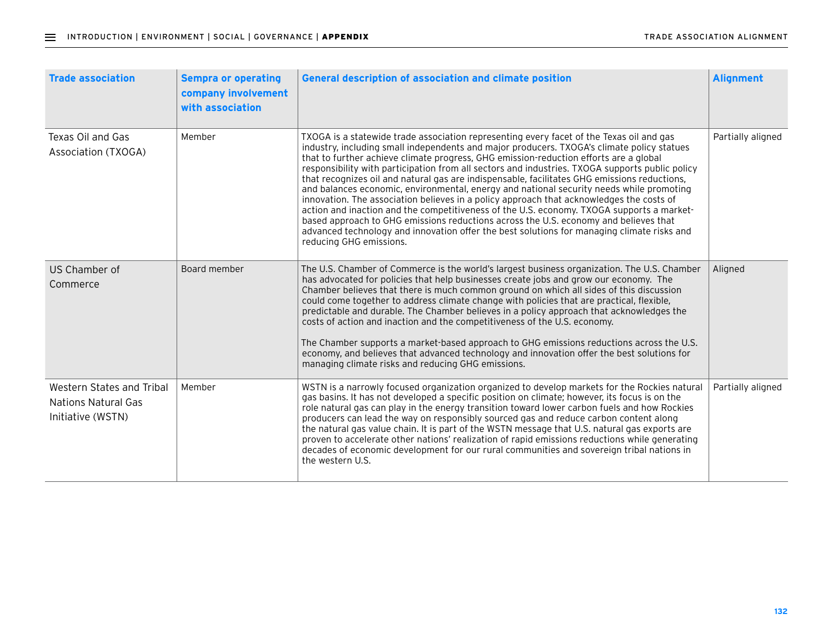| <b>Trade association</b>                                              | <b>Sempra or operating</b><br>company involvement<br>with association | <b>General description of association and climate position</b>                                                                                                                                                                                                                                                                                                                                                                                                                                                                                                                                                                                                                                                                                                                                                                                                                                                                                                                           | <b>Alignment</b>  |
|-----------------------------------------------------------------------|-----------------------------------------------------------------------|------------------------------------------------------------------------------------------------------------------------------------------------------------------------------------------------------------------------------------------------------------------------------------------------------------------------------------------------------------------------------------------------------------------------------------------------------------------------------------------------------------------------------------------------------------------------------------------------------------------------------------------------------------------------------------------------------------------------------------------------------------------------------------------------------------------------------------------------------------------------------------------------------------------------------------------------------------------------------------------|-------------------|
| Texas Oil and Gas<br>Association (TXOGA)                              | Member                                                                | TXOGA is a statewide trade association representing every facet of the Texas oil and gas<br>industry, including small independents and major producers. TXOGA's climate policy statues<br>that to further achieve climate progress, GHG emission-reduction efforts are a global<br>responsibility with participation from all sectors and industries. TXOGA supports public policy<br>that recognizes oil and natural gas are indispensable, facilitates GHG emissions reductions,<br>and balances economic, environmental, energy and national security needs while promoting<br>innovation. The association believes in a policy approach that acknowledges the costs of<br>action and inaction and the competitiveness of the U.S. economy. TXOGA supports a market-<br>based approach to GHG emissions reductions across the U.S. economy and believes that<br>advanced technology and innovation offer the best solutions for managing climate risks and<br>reducing GHG emissions. | Partially aligned |
| US Chamber of<br>Commerce                                             | Board member                                                          | The U.S. Chamber of Commerce is the world's largest business organization. The U.S. Chamber<br>has advocated for policies that help businesses create jobs and grow our economy. The<br>Chamber believes that there is much common ground on which all sides of this discussion<br>could come together to address climate change with policies that are practical, flexible,<br>predictable and durable. The Chamber believes in a policy approach that acknowledges the<br>costs of action and inaction and the competitiveness of the U.S. economy.<br>The Chamber supports a market-based approach to GHG emissions reductions across the U.S.<br>economy, and believes that advanced technology and innovation offer the best solutions for<br>managing climate risks and reducing GHG emissions.                                                                                                                                                                                    | Aligned           |
| Western States and Tribal<br>Nations Natural Gas<br>Initiative (WSTN) | Member                                                                | WSTN is a narrowly focused organization organized to develop markets for the Rockies natural<br>gas basins. It has not developed a specific position on climate; however, its focus is on the<br>role natural gas can play in the energy transition toward lower carbon fuels and how Rockies<br>producers can lead the way on responsibly sourced gas and reduce carbon content along<br>the natural gas value chain. It is part of the WSTN message that U.S. natural gas exports are<br>proven to accelerate other nations' realization of rapid emissions reductions while generating<br>decades of economic development for our rural communities and sovereign tribal nations in<br>the western U.S.                                                                                                                                                                                                                                                                               | Partially aligned |